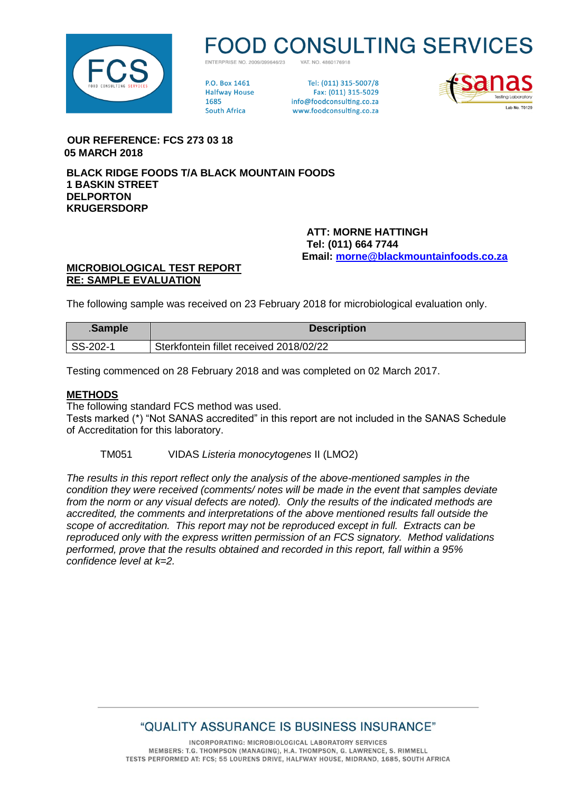

# **D CONSULTING SERVICES**

VAT NO 4860176918 ENTERPRISE NO 2009/099646/23

**PO Rox 1461 Halfway House** 1685 **South Africa** 

Tel: (011) 315-5007/8 Fax: (011) 315-5029 info@foodconsulting.co.za www.foodconsulting.co.za



 **OUR REFERENCE: FCS 273 03 18 05 MARCH 2018**

**BLACK RIDGE FOODS T/A BLACK MOUNTAIN FOODS 1 BASKIN STREET DELPORTON KRUGERSDORP**

> **ATT: MORNE HATTINGH Tel: (011) 664 7744 Email: [morne@blackmountainfoods.co.za](mailto:morne@blackmountainfoods.co.za)**

### **MICROBIOLOGICAL TEST REPORT RE: SAMPLE EVALUATION**

The following sample was received on 23 February 2018 for microbiological evaluation only.

| .Sample  | <b>Description</b>                      |
|----------|-----------------------------------------|
| SS-202-1 | Sterkfontein fillet received 2018/02/22 |

Testing commenced on 28 February 2018 and was completed on 02 March 2017.

#### **METHODS**

The following standard FCS method was used.

Tests marked (\*) "Not SANAS accredited" in this report are not included in the SANAS Schedule of Accreditation for this laboratory.

TM051 VIDAS *Listeria monocytogenes* II (LMO2)

*The results in this report reflect only the analysis of the above-mentioned samples in the condition they were received (comments/ notes will be made in the event that samples deviate from the norm or any visual defects are noted). Only the results of the indicated methods are accredited, the comments and interpretations of the above mentioned results fall outside the scope of accreditation. This report may not be reproduced except in full. Extracts can be reproduced only with the express written permission of an FCS signatory. Method validations performed, prove that the results obtained and recorded in this report, fall within a 95% confidence level at k=2.*

# "QUALITY ASSURANCE IS BUSINESS INSURANCE"

INCORPORATING: MICROBIOLOGICAL LABORATORY SERVICES MEMBERS: T.G. THOMPSON (MANAGING), H.A. THOMPSON, G. LAWRENCE, S. RIMMELL TESTS PERFORMED AT: FCS; 55 LOURENS DRIVE, HALFWAY HOUSE, MIDRAND, 1685, SOUTH AFRICA